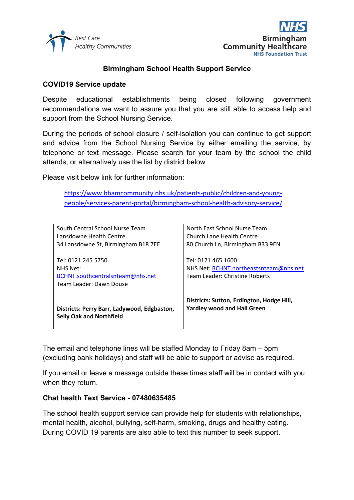



## **Birmingham School Health Support Service**

#### **COVID19 Service update**

Despite educational establishments being closed following government recommendations we want to assure you that you are still able to access help and support from the School Nursing Service.

During the periods of school closure / self-isolation you can continue to get support and advice from the School Nursing Service by either emailing the service, by telephone or text message. Please search for your team by the school the child attends, or alternatively use the list by district below

Please visit below link for further information:

[https://www.bhamcommunity.nhs.uk/patients-public/children-and-young](https://www.bhamcommunity.nhs.uk/patients-public/children-and-young-people/services-parent-portal/birmingham-school-health-advisory-service/)[people/services-parent-portal/birmingham-school-health-advisory-service/](https://www.bhamcommunity.nhs.uk/patients-public/children-and-young-people/services-parent-portal/birmingham-school-health-advisory-service/)

| South Central School Nurse Team                                                | North East School Nurse Team                                                    |
|--------------------------------------------------------------------------------|---------------------------------------------------------------------------------|
| Lansdowne Health Centre                                                        | Church Lane Health Centre                                                       |
| 34 Lansdowne St, Birmingham B18 7EE                                            | 80 Church Ln, Birmingham B33 9EN                                                |
|                                                                                |                                                                                 |
| Tel: 0121 245 5750                                                             | Tel: 0121 465 1600                                                              |
| NHS Net:                                                                       | NHS Net: BCHNT.northeastsnteam@nhs.net                                          |
| BCHNT.southcentralsnteam@nhs.net                                               | Team Leader: Christine Roberts                                                  |
| Team Leader: Dawn Douse                                                        |                                                                                 |
|                                                                                |                                                                                 |
| Districts: Perry Barr, Ladywood, Edgbaston,<br><b>Selly Oak and Northfield</b> | Districts: Sutton, Erdington, Hodge Hill,<br><b>Yardley wood and Hall Green</b> |

The email and telephone lines will be staffed Monday to Friday 8am – 5pm (excluding bank holidays) and staff will be able to support or advise as required.

If you email or leave a message outside these times staff will be in contact with you when they return.

#### **Chat health Text Service - 07480635485**

The school health support service can provide help for students with relationships, mental health, alcohol, bullying, self-harm, smoking, drugs and healthy eating. During COVID 19 parents are also able to text this number to seek support.